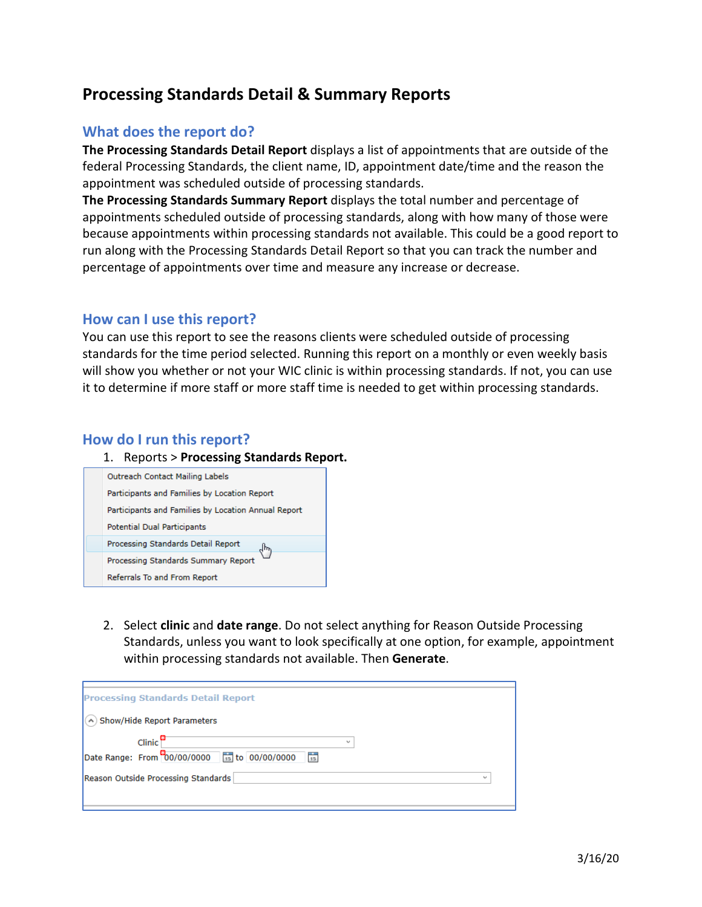# **Processing Standards Detail & Summary Reports**

### **What does the report do?**

**The Processing Standards Detail Report** displays a list of appointments that are outside of the federal Processing Standards, the client name, ID, appointment date/time and the reason the appointment was scheduled outside of processing standards.

**The Processing Standards Summary Report** displays the total number and percentage of appointments scheduled outside of processing standards, along with how many of those were because appointments within processing standards not available. This could be a good report to run along with the Processing Standards Detail Report so that you can track the number and percentage of appointments over time and measure any increase or decrease.

### **How can I use this report?**

You can use this report to see the reasons clients were scheduled outside of processing standards for the time period selected. Running this report on a monthly or even weekly basis will show you whether or not your WIC clinic is within processing standards. If not, you can use it to determine if more staff or more staff time is needed to get within processing standards.

### **How do I run this report?**

#### 1. Reports > **Processing Standards Report.**



2. Select **clinic** and **date range**. Do not select anything for Reason Outside Processing Standards, unless you want to look specifically at one option, for example, appointment within processing standards not available. Then **Generate**.

| <b>Processing Standards Detail Report</b>                                                            |        |
|------------------------------------------------------------------------------------------------------|--------|
| (A) Show/Hide Report Parameters                                                                      |        |
| $Clinic$ <sup>8</sup><br>$\overline{\phantom{a}}$<br>Date Range: From 00/00/0000 15 to 00/00/0000 55 |        |
| Reason Outside Processing Standards                                                                  | $\sim$ |
|                                                                                                      |        |